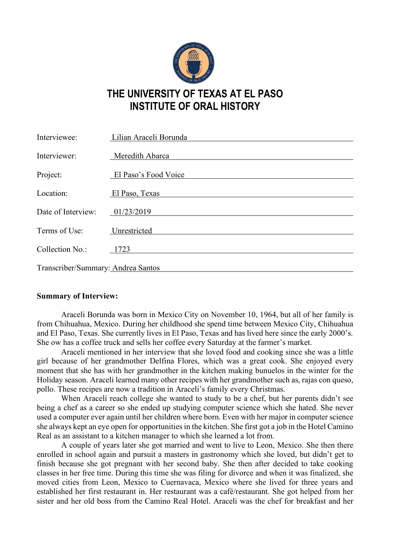

## **THE UNIVERSITY OF TEXAS AT EL PASO INSTITUTE OF ORAL HISTORY**

| Interviewee:                       | Lilian Araceli Borunda |
|------------------------------------|------------------------|
| Interviewer:                       | Meredith Abarca        |
| Project:                           | El Paso's Food Voice   |
| Location:                          | El Paso, Texas         |
| Date of Interview:                 | 01/23/2019             |
| Terms of Use:                      | Unrestricted           |
| Collection No.:                    | 1723                   |
| Transcriber/Summary: Andrea Santos |                        |

## **Summary of Interview:**

Araceli Borunda was born in Mexico City on November 10, 1964, but all of her family is from Chihuahua, Mexico. During her childhood she spend time between Mexico City, Chihuahua and El Paso, Texas. She currently lives in El Paso, Texas and has lived here since the early 2000's. She ow has a coffee truck and sells her coffee every Saturday at the farmer's market.

Araceli mentioned in her interview that she loved food and cooking since she was a little girl because of her grandmother Delfina Flores, which was a great cook. She enjoyed every moment that she has with her grandmother in the kitchen making bunuelos in the winter for the Holiday season. Araceli learned many other recipes with her grandmother such as, rajas con queso, pollo. These recipes are now a tradition in Araceli's family every Christmas.

When Araceli reach college she wanted to study to be a chef, but her parents didn't see being a chef as a career so she ended up studying computer science which she hated. She never used a computer ever again until her children where born. Even with her major in computer science she always kept an eye open for opportunities in the kitchen. She first got a job in the Hotel Camino Real as an assistant to a kitchen manager to which she learned a lot from.

A couple of years later she got married and went to live to Leon, Mexico. She then there enrolled in school again and pursuit a masters in gastronomy which she loved, but didn't get to finish because she got pregnant with her second baby. She then after decided to take cooking classes in her free time. During this time she was filing for divorce and when it was finalized, she moved cities from Leon, Mexico to Cuernavaca, Mexico where she lived for three years and established her first restaurant in. Her restaurant was a café/restaurant. She got helped from her sister and her old boss from the Camino Real Hotel. Araceli was the chef for breakfast and her